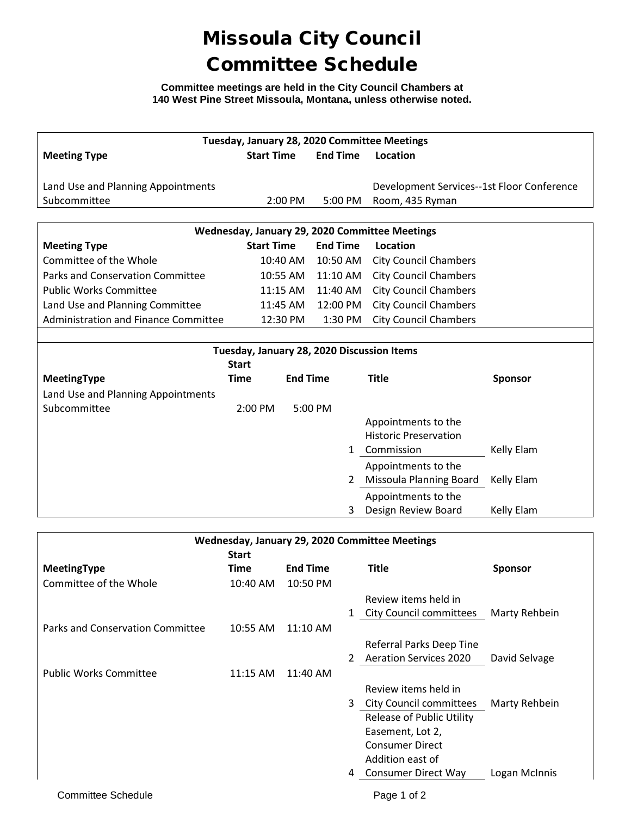## Missoula City Council Committee Schedule

**Committee meetings are held in the City Council Chambers at 140 West Pine Street Missoula, Montana, unless otherwise noted.**

| Tuesday, January 28, 2020 Committee Meetings               |                   |                 |                 |             |                                            |                |  |  |  |  |
|------------------------------------------------------------|-------------------|-----------------|-----------------|-------------|--------------------------------------------|----------------|--|--|--|--|
| <b>Meeting Type</b>                                        | <b>Start Time</b> |                 | <b>End Time</b> |             | Location                                   |                |  |  |  |  |
|                                                            |                   |                 |                 |             |                                            |                |  |  |  |  |
| Land Use and Planning Appointments                         |                   |                 |                 |             | Development Services--1st Floor Conference |                |  |  |  |  |
| Subcommittee                                               |                   | 2:00 PM         |                 | 5:00 PM     | Room, 435 Ryman                            |                |  |  |  |  |
|                                                            |                   |                 |                 |             |                                            |                |  |  |  |  |
| Wednesday, January 29, 2020 Committee Meetings             |                   |                 |                 |             |                                            |                |  |  |  |  |
| <b>Meeting Type</b>                                        | <b>Start Time</b> |                 | <b>End Time</b> |             | <b>Location</b>                            |                |  |  |  |  |
| Committee of the Whole                                     |                   | 10:40 AM        |                 | 10:50 AM    | <b>City Council Chambers</b>               |                |  |  |  |  |
| <b>Parks and Conservation Committee</b>                    |                   | 10:55 AM        |                 | $11:10$ AM  | <b>City Council Chambers</b>               |                |  |  |  |  |
| <b>Public Works Committee</b>                              |                   | 11:15 AM        |                 | 11:40 AM    | <b>City Council Chambers</b>               |                |  |  |  |  |
| Land Use and Planning Committee                            |                   | 11:45 AM        |                 | 12:00 PM    | <b>City Council Chambers</b>               |                |  |  |  |  |
| Administration and Finance Committee                       |                   | 12:30 PM        |                 | 1:30 PM     | <b>City Council Chambers</b>               |                |  |  |  |  |
|                                                            |                   |                 |                 |             |                                            |                |  |  |  |  |
| Tuesday, January 28, 2020 Discussion Items<br><b>Start</b> |                   |                 |                 |             |                                            |                |  |  |  |  |
| <b>MeetingType</b>                                         | <b>Time</b>       | <b>End Time</b> |                 |             | <b>Title</b>                               | Sponsor        |  |  |  |  |
| Land Use and Planning Appointments                         |                   |                 |                 |             |                                            |                |  |  |  |  |
| Subcommittee                                               | 2:00 PM           |                 | 5:00 PM         |             |                                            |                |  |  |  |  |
|                                                            |                   |                 |                 |             | Appointments to the                        |                |  |  |  |  |
|                                                            |                   |                 |                 |             | <b>Historic Preservation</b>               |                |  |  |  |  |
|                                                            |                   |                 |                 | 1           | Commission                                 | Kelly Elam     |  |  |  |  |
|                                                            |                   |                 |                 |             | Appointments to the                        |                |  |  |  |  |
|                                                            |                   |                 |                 |             | 2 Missoula Planning Board                  | Kelly Elam     |  |  |  |  |
|                                                            |                   |                 |                 |             | Appointments to the                        |                |  |  |  |  |
|                                                            |                   |                 |                 | 3           | Design Review Board                        | Kelly Elam     |  |  |  |  |
|                                                            |                   |                 |                 |             |                                            |                |  |  |  |  |
| Wednesday, January 29, 2020 Committee Meetings             |                   |                 |                 |             |                                            |                |  |  |  |  |
|                                                            | <b>Start</b>      |                 |                 |             |                                            |                |  |  |  |  |
| MeetingType                                                | <b>Time</b>       | <b>End Time</b> |                 |             | <b>Title</b>                               | <b>Sponsor</b> |  |  |  |  |
| Committee of the Whole                                     | 10:40 AM          | 10:50 PM        |                 |             |                                            |                |  |  |  |  |
|                                                            |                   |                 |                 |             | Review items held in                       |                |  |  |  |  |
|                                                            |                   |                 |                 | 1           | <b>City Council committees</b>             | Marty Rehbein  |  |  |  |  |
| <b>Parks and Conservation Committee</b>                    | 10:55 AM          | 11:10 AM        |                 |             |                                            |                |  |  |  |  |
|                                                            |                   |                 |                 |             | Referral Parks Deep Tine                   |                |  |  |  |  |
|                                                            |                   |                 |                 | $2^{\circ}$ | <b>Aeration Services 2020</b>              | David Selvage  |  |  |  |  |
| <b>Public Works Committee</b>                              | 11:15 AM          | 11:40 AM        |                 |             |                                            |                |  |  |  |  |
|                                                            |                   |                 |                 |             | Review items held in                       |                |  |  |  |  |
|                                                            |                   |                 |                 | 3           | <b>City Council committees</b>             | Marty Rehbein  |  |  |  |  |
|                                                            |                   |                 |                 |             | <b>Release of Public Utility</b>           |                |  |  |  |  |
|                                                            |                   |                 |                 |             | Easement, Lot 2,<br><b>Consumer Direct</b> |                |  |  |  |  |
|                                                            |                   |                 |                 |             | Addition east of                           |                |  |  |  |  |

4 Consumer Direct Way Logan McInnis